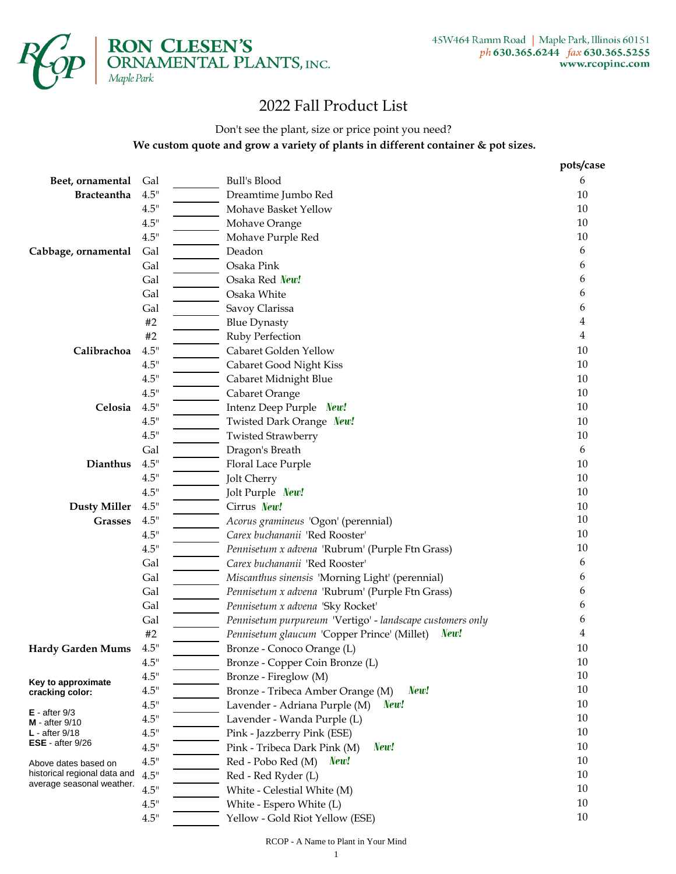

## 2022 Fall Product List

### Don't see the plant, size or price point you need?  **We custom quote and grow a variety of plants in different container & pot sizes.**

|                                       |               |                                                           | pots/case |
|---------------------------------------|---------------|-----------------------------------------------------------|-----------|
| Beet, ornamental                      | Gal           | <b>Bull's Blood</b>                                       | 6         |
| <b>Bracteantha</b>                    | 4.5"          | Dreamtime Jumbo Red                                       | 10        |
|                                       | 4.5"          | Mohave Basket Yellow                                      | $10\,$    |
|                                       | 4.5"          | Mohave Orange                                             | $10\,$    |
|                                       | 4.5"          | Mohave Purple Red                                         | $10\,$    |
| Cabbage, ornamental                   | Gal           | Deadon                                                    | 6         |
|                                       | Gal           | Osaka Pink                                                | 6         |
|                                       | Gal           | Osaka Red New!                                            | 6         |
|                                       | Gal           | Osaka White                                               | 6         |
|                                       | Gal           | Savoy Clarissa                                            | 6         |
|                                       | #2            | <b>Blue Dynasty</b>                                       | 4         |
|                                       | #2            | Ruby Perfection                                           | 4         |
| Calibrachoa                           | 4.5"          | Cabaret Golden Yellow                                     | 10        |
|                                       | 4.5"          | Cabaret Good Night Kiss                                   | $10\,$    |
|                                       | 4.5"          | Cabaret Midnight Blue                                     | $10\,$    |
|                                       | 4.5"          | Cabaret Orange                                            | $10\,$    |
| Celosia                               | 4.5"          | Intenz Deep Purple New!                                   | $10\,$    |
|                                       | 4.5"          | Twisted Dark Orange New!                                  | $10\,$    |
|                                       | 4.5"          | <b>Twisted Strawberry</b>                                 | $10\,$    |
|                                       | Gal           | Dragon's Breath                                           | 6         |
| Dianthus                              | 4.5"          | Floral Lace Purple                                        | $10\,$    |
|                                       | 4.5"          | Jolt Cherry                                               | $10\,$    |
|                                       | 4.5"          | Jolt Purple New!                                          | $10\,$    |
| <b>Dusty Miller</b>                   | 4.5"          | Cirrus New!                                               | $10\,$    |
| <b>Grasses</b>                        | 4.5"          | Acorus gramineus 'Ogon' (perennial)                       | $10\,$    |
|                                       | 4.5"          | Carex buchananii 'Red Rooster'                            | $10\,$    |
|                                       | 4.5"          | Pennisetum x advena 'Rubrum' (Purple Ftn Grass)           | $10\,$    |
|                                       | Gal           | Carex buchananii 'Red Rooster'                            | 6         |
|                                       | Gal           | Miscanthus sinensis 'Morning Light' (perennial)           | 6         |
|                                       | Gal           | Pennisetum x advena 'Rubrum' (Purple Ftn Grass)           | 6         |
|                                       | Gal           | Pennisetum x advena 'Sky Rocket'                          | 6         |
|                                       | Gal           | Pennisetum purpureum 'Vertigo' - landscape customers only | 6         |
|                                       | $#2$          | Pennisetum glaucum 'Copper Prince' (Millet)<br>New!       | 4         |
| Hardy Garden Mums                     | 4.5"          | Bronze - Conoco Orange (L)                                | 10        |
|                                       | 4.5"          | Bronze - Copper Coin Bronze (L)                           | 10        |
| Key to approximate                    | 4.5"          | Bronze - Fireglow (M)                                     | $10\,$    |
| cracking color:                       | 4.5"          | Bronze - Tribeca Amber Orange (M)<br>New!                 | 10        |
|                                       | 4.5"          | New!<br>Lavender - Adriana Purple (M)                     | $10\,$    |
| $E - after 9/3$<br>$M$ - after $9/10$ | $4.5^{\circ}$ | Lavender - Wanda Purple (L)                               | $10\,$    |
| $L$ - after $9/18$                    | 4.5"          | Pink - Jazzberry Pink (ESE)                               | $10\,$    |
| ESE - after $9/26$                    | $4.5"$        | Pink - Tribeca Dark Pink (M)<br>New!                      | $10\,$    |
| Above dates based on                  | 4.5"          | New!<br>Red - Pobo Red (M)                                | $10\,$    |
| historical regional data and          | 4.5"          | Red - Red Ryder (L)                                       | $10\,$    |
| average seasonal weather.             | 4.5"          | White - Celestial White (M)                               | 10        |
|                                       | 4.5"          | White - Espero White (L)                                  | $10\,$    |
|                                       | 4.5"          | Yellow - Gold Riot Yellow (ESE)                           | $10\,$    |

RCOP - A Name to Plant in Your Mind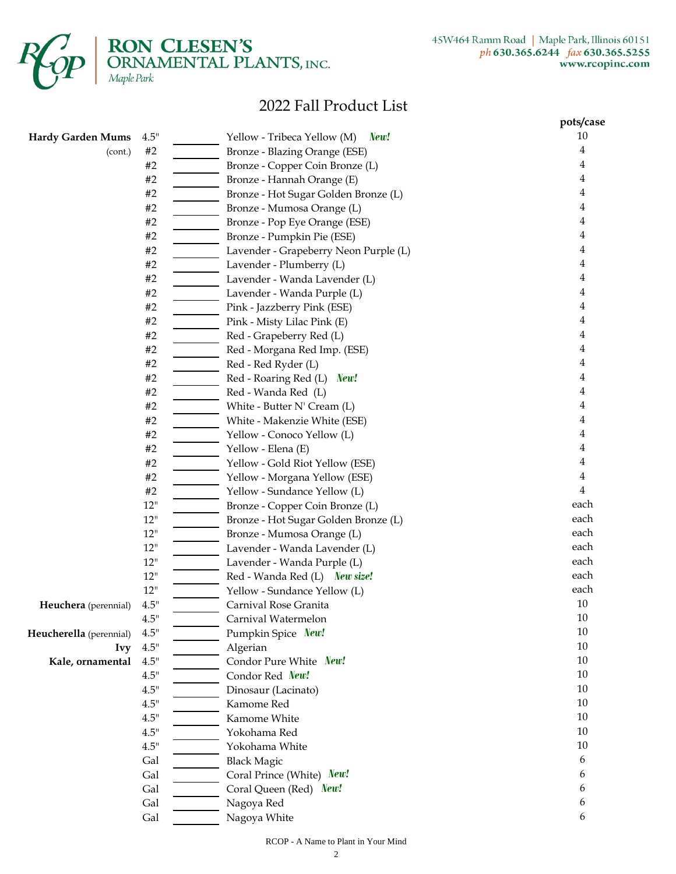

**RON CLESEN'S**<br>ORNAMENTAL PLANTS, INC.<br>Maple Park

## 2022 Fall Product List

| 10<br>4.5"<br>New!<br>Yellow - Tribeca Yellow (M)<br><b>Hardy Garden Mums</b><br>$\#2$<br>4<br>Bronze - Blazing Orange (ESE)<br>(cont.)<br>4<br>#2<br>Bronze - Copper Coin Bronze (L)<br>#2<br>4<br>Bronze - Hannah Orange (E)<br>4<br>#2<br>Bronze - Hot Sugar Golden Bronze (L)<br>#2<br>4<br>Bronze - Mumosa Orange (L)<br>4<br>Bronze - Pop Eye Orange (ESE)<br>#2<br>4<br>#2<br>Bronze - Pumpkin Pie (ESE)<br>#2<br>4<br>Lavender - Grapeberry Neon Purple (L)<br>4<br>#2<br>Lavender - Plumberry (L)<br>#2<br>Lavender - Wanda Lavender (L)<br>4<br>4<br>#2<br>Lavender - Wanda Purple (L)<br>4<br>#2<br>Pink - Jazzberry Pink (ESE)<br>4<br>#2<br>Pink - Misty Lilac Pink (E)<br>#2<br>Red - Grapeberry Red (L)<br>4<br>4<br>#2<br>Red - Morgana Red Imp. (ESE)<br>4<br>#2<br>Red - Red Ryder (L)<br>#2<br>4<br>Red - Roaring Red (L)<br>New!<br>4<br>#2<br>Red - Wanda Red (L)<br>4<br>#2<br>White - Butter N' Cream (L)<br>4<br>#2<br>White - Makenzie White (ESE)<br>#2<br>4<br>Yellow - Conoco Yellow (L)<br>#2<br>4<br>Yellow - Elena (E)<br>#2<br>Yellow - Gold Riot Yellow (ESE)<br>4<br>#2<br>4<br>Yellow - Morgana Yellow (ESE)<br>4<br>#2<br>Yellow - Sundance Yellow (L)<br>each<br>12"<br>Bronze - Copper Coin Bronze (L)<br>each<br>12"<br>Bronze - Hot Sugar Golden Bronze (L)<br>each<br>12"<br>Bronze - Mumosa Orange (L)<br>each<br>12"<br>Lavender - Wanda Lavender (L)<br>each<br>12"<br>Lavender - Wanda Purple (L)<br>each<br>12"<br>Red - Wanda Red (L) New size!<br>each<br>Yellow - Sundance Yellow (L)<br>12"<br>$10\,$<br>4.5"<br>Carnival Rose Granita<br>Heuchera (perennial)<br>$10\,$<br>4.5"<br>Carnival Watermelon<br>10<br>4.5"<br>Pumpkin Spice New!<br>Heucherella (perennial)<br>10<br>4.5"<br>Algerian<br><b>Ivy</b><br>10<br>Condor Pure White New!<br>4.5"<br>Kale, ornamental<br>10<br>4.5"<br>Condor Red New!<br>10<br>4.5"<br>Dinosaur (Lacinato)<br>10<br>4.5"<br>Kamome Red<br>10<br>4.5"<br>Kamome White<br>10<br>4.5"<br>Yokohama Red<br>10<br>4.5"<br>Yokohama White<br>Gal<br><b>Black Magic</b><br>6<br>Gal<br>Coral Prince (White) New!<br>6<br>Gal<br>Coral Queen (Red) New!<br>6<br>Gal<br>Nagoya Red<br>6<br>6 |     |              | pots/case |
|----------------------------------------------------------------------------------------------------------------------------------------------------------------------------------------------------------------------------------------------------------------------------------------------------------------------------------------------------------------------------------------------------------------------------------------------------------------------------------------------------------------------------------------------------------------------------------------------------------------------------------------------------------------------------------------------------------------------------------------------------------------------------------------------------------------------------------------------------------------------------------------------------------------------------------------------------------------------------------------------------------------------------------------------------------------------------------------------------------------------------------------------------------------------------------------------------------------------------------------------------------------------------------------------------------------------------------------------------------------------------------------------------------------------------------------------------------------------------------------------------------------------------------------------------------------------------------------------------------------------------------------------------------------------------------------------------------------------------------------------------------------------------------------------------------------------------------------------------------------------------------------------------------------------------------------------------------------------------------------------------------------------------------------------------------------------------------------------------------------------------------------------------------------------------|-----|--------------|-----------|
|                                                                                                                                                                                                                                                                                                                                                                                                                                                                                                                                                                                                                                                                                                                                                                                                                                                                                                                                                                                                                                                                                                                                                                                                                                                                                                                                                                                                                                                                                                                                                                                                                                                                                                                                                                                                                                                                                                                                                                                                                                                                                                                                                                            |     |              |           |
|                                                                                                                                                                                                                                                                                                                                                                                                                                                                                                                                                                                                                                                                                                                                                                                                                                                                                                                                                                                                                                                                                                                                                                                                                                                                                                                                                                                                                                                                                                                                                                                                                                                                                                                                                                                                                                                                                                                                                                                                                                                                                                                                                                            |     |              |           |
|                                                                                                                                                                                                                                                                                                                                                                                                                                                                                                                                                                                                                                                                                                                                                                                                                                                                                                                                                                                                                                                                                                                                                                                                                                                                                                                                                                                                                                                                                                                                                                                                                                                                                                                                                                                                                                                                                                                                                                                                                                                                                                                                                                            |     |              |           |
|                                                                                                                                                                                                                                                                                                                                                                                                                                                                                                                                                                                                                                                                                                                                                                                                                                                                                                                                                                                                                                                                                                                                                                                                                                                                                                                                                                                                                                                                                                                                                                                                                                                                                                                                                                                                                                                                                                                                                                                                                                                                                                                                                                            |     |              |           |
|                                                                                                                                                                                                                                                                                                                                                                                                                                                                                                                                                                                                                                                                                                                                                                                                                                                                                                                                                                                                                                                                                                                                                                                                                                                                                                                                                                                                                                                                                                                                                                                                                                                                                                                                                                                                                                                                                                                                                                                                                                                                                                                                                                            |     |              |           |
|                                                                                                                                                                                                                                                                                                                                                                                                                                                                                                                                                                                                                                                                                                                                                                                                                                                                                                                                                                                                                                                                                                                                                                                                                                                                                                                                                                                                                                                                                                                                                                                                                                                                                                                                                                                                                                                                                                                                                                                                                                                                                                                                                                            |     |              |           |
|                                                                                                                                                                                                                                                                                                                                                                                                                                                                                                                                                                                                                                                                                                                                                                                                                                                                                                                                                                                                                                                                                                                                                                                                                                                                                                                                                                                                                                                                                                                                                                                                                                                                                                                                                                                                                                                                                                                                                                                                                                                                                                                                                                            |     |              |           |
|                                                                                                                                                                                                                                                                                                                                                                                                                                                                                                                                                                                                                                                                                                                                                                                                                                                                                                                                                                                                                                                                                                                                                                                                                                                                                                                                                                                                                                                                                                                                                                                                                                                                                                                                                                                                                                                                                                                                                                                                                                                                                                                                                                            |     |              |           |
|                                                                                                                                                                                                                                                                                                                                                                                                                                                                                                                                                                                                                                                                                                                                                                                                                                                                                                                                                                                                                                                                                                                                                                                                                                                                                                                                                                                                                                                                                                                                                                                                                                                                                                                                                                                                                                                                                                                                                                                                                                                                                                                                                                            |     |              |           |
|                                                                                                                                                                                                                                                                                                                                                                                                                                                                                                                                                                                                                                                                                                                                                                                                                                                                                                                                                                                                                                                                                                                                                                                                                                                                                                                                                                                                                                                                                                                                                                                                                                                                                                                                                                                                                                                                                                                                                                                                                                                                                                                                                                            |     |              |           |
|                                                                                                                                                                                                                                                                                                                                                                                                                                                                                                                                                                                                                                                                                                                                                                                                                                                                                                                                                                                                                                                                                                                                                                                                                                                                                                                                                                                                                                                                                                                                                                                                                                                                                                                                                                                                                                                                                                                                                                                                                                                                                                                                                                            |     |              |           |
|                                                                                                                                                                                                                                                                                                                                                                                                                                                                                                                                                                                                                                                                                                                                                                                                                                                                                                                                                                                                                                                                                                                                                                                                                                                                                                                                                                                                                                                                                                                                                                                                                                                                                                                                                                                                                                                                                                                                                                                                                                                                                                                                                                            |     |              |           |
|                                                                                                                                                                                                                                                                                                                                                                                                                                                                                                                                                                                                                                                                                                                                                                                                                                                                                                                                                                                                                                                                                                                                                                                                                                                                                                                                                                                                                                                                                                                                                                                                                                                                                                                                                                                                                                                                                                                                                                                                                                                                                                                                                                            |     |              |           |
|                                                                                                                                                                                                                                                                                                                                                                                                                                                                                                                                                                                                                                                                                                                                                                                                                                                                                                                                                                                                                                                                                                                                                                                                                                                                                                                                                                                                                                                                                                                                                                                                                                                                                                                                                                                                                                                                                                                                                                                                                                                                                                                                                                            |     |              |           |
|                                                                                                                                                                                                                                                                                                                                                                                                                                                                                                                                                                                                                                                                                                                                                                                                                                                                                                                                                                                                                                                                                                                                                                                                                                                                                                                                                                                                                                                                                                                                                                                                                                                                                                                                                                                                                                                                                                                                                                                                                                                                                                                                                                            |     |              |           |
|                                                                                                                                                                                                                                                                                                                                                                                                                                                                                                                                                                                                                                                                                                                                                                                                                                                                                                                                                                                                                                                                                                                                                                                                                                                                                                                                                                                                                                                                                                                                                                                                                                                                                                                                                                                                                                                                                                                                                                                                                                                                                                                                                                            |     |              |           |
|                                                                                                                                                                                                                                                                                                                                                                                                                                                                                                                                                                                                                                                                                                                                                                                                                                                                                                                                                                                                                                                                                                                                                                                                                                                                                                                                                                                                                                                                                                                                                                                                                                                                                                                                                                                                                                                                                                                                                                                                                                                                                                                                                                            |     |              |           |
|                                                                                                                                                                                                                                                                                                                                                                                                                                                                                                                                                                                                                                                                                                                                                                                                                                                                                                                                                                                                                                                                                                                                                                                                                                                                                                                                                                                                                                                                                                                                                                                                                                                                                                                                                                                                                                                                                                                                                                                                                                                                                                                                                                            |     |              |           |
|                                                                                                                                                                                                                                                                                                                                                                                                                                                                                                                                                                                                                                                                                                                                                                                                                                                                                                                                                                                                                                                                                                                                                                                                                                                                                                                                                                                                                                                                                                                                                                                                                                                                                                                                                                                                                                                                                                                                                                                                                                                                                                                                                                            |     |              |           |
|                                                                                                                                                                                                                                                                                                                                                                                                                                                                                                                                                                                                                                                                                                                                                                                                                                                                                                                                                                                                                                                                                                                                                                                                                                                                                                                                                                                                                                                                                                                                                                                                                                                                                                                                                                                                                                                                                                                                                                                                                                                                                                                                                                            |     |              |           |
|                                                                                                                                                                                                                                                                                                                                                                                                                                                                                                                                                                                                                                                                                                                                                                                                                                                                                                                                                                                                                                                                                                                                                                                                                                                                                                                                                                                                                                                                                                                                                                                                                                                                                                                                                                                                                                                                                                                                                                                                                                                                                                                                                                            |     |              |           |
|                                                                                                                                                                                                                                                                                                                                                                                                                                                                                                                                                                                                                                                                                                                                                                                                                                                                                                                                                                                                                                                                                                                                                                                                                                                                                                                                                                                                                                                                                                                                                                                                                                                                                                                                                                                                                                                                                                                                                                                                                                                                                                                                                                            |     |              |           |
|                                                                                                                                                                                                                                                                                                                                                                                                                                                                                                                                                                                                                                                                                                                                                                                                                                                                                                                                                                                                                                                                                                                                                                                                                                                                                                                                                                                                                                                                                                                                                                                                                                                                                                                                                                                                                                                                                                                                                                                                                                                                                                                                                                            |     |              |           |
|                                                                                                                                                                                                                                                                                                                                                                                                                                                                                                                                                                                                                                                                                                                                                                                                                                                                                                                                                                                                                                                                                                                                                                                                                                                                                                                                                                                                                                                                                                                                                                                                                                                                                                                                                                                                                                                                                                                                                                                                                                                                                                                                                                            |     |              |           |
|                                                                                                                                                                                                                                                                                                                                                                                                                                                                                                                                                                                                                                                                                                                                                                                                                                                                                                                                                                                                                                                                                                                                                                                                                                                                                                                                                                                                                                                                                                                                                                                                                                                                                                                                                                                                                                                                                                                                                                                                                                                                                                                                                                            |     |              |           |
|                                                                                                                                                                                                                                                                                                                                                                                                                                                                                                                                                                                                                                                                                                                                                                                                                                                                                                                                                                                                                                                                                                                                                                                                                                                                                                                                                                                                                                                                                                                                                                                                                                                                                                                                                                                                                                                                                                                                                                                                                                                                                                                                                                            |     |              |           |
|                                                                                                                                                                                                                                                                                                                                                                                                                                                                                                                                                                                                                                                                                                                                                                                                                                                                                                                                                                                                                                                                                                                                                                                                                                                                                                                                                                                                                                                                                                                                                                                                                                                                                                                                                                                                                                                                                                                                                                                                                                                                                                                                                                            |     |              |           |
|                                                                                                                                                                                                                                                                                                                                                                                                                                                                                                                                                                                                                                                                                                                                                                                                                                                                                                                                                                                                                                                                                                                                                                                                                                                                                                                                                                                                                                                                                                                                                                                                                                                                                                                                                                                                                                                                                                                                                                                                                                                                                                                                                                            |     |              |           |
|                                                                                                                                                                                                                                                                                                                                                                                                                                                                                                                                                                                                                                                                                                                                                                                                                                                                                                                                                                                                                                                                                                                                                                                                                                                                                                                                                                                                                                                                                                                                                                                                                                                                                                                                                                                                                                                                                                                                                                                                                                                                                                                                                                            |     |              |           |
|                                                                                                                                                                                                                                                                                                                                                                                                                                                                                                                                                                                                                                                                                                                                                                                                                                                                                                                                                                                                                                                                                                                                                                                                                                                                                                                                                                                                                                                                                                                                                                                                                                                                                                                                                                                                                                                                                                                                                                                                                                                                                                                                                                            |     |              |           |
|                                                                                                                                                                                                                                                                                                                                                                                                                                                                                                                                                                                                                                                                                                                                                                                                                                                                                                                                                                                                                                                                                                                                                                                                                                                                                                                                                                                                                                                                                                                                                                                                                                                                                                                                                                                                                                                                                                                                                                                                                                                                                                                                                                            |     |              |           |
|                                                                                                                                                                                                                                                                                                                                                                                                                                                                                                                                                                                                                                                                                                                                                                                                                                                                                                                                                                                                                                                                                                                                                                                                                                                                                                                                                                                                                                                                                                                                                                                                                                                                                                                                                                                                                                                                                                                                                                                                                                                                                                                                                                            |     |              |           |
|                                                                                                                                                                                                                                                                                                                                                                                                                                                                                                                                                                                                                                                                                                                                                                                                                                                                                                                                                                                                                                                                                                                                                                                                                                                                                                                                                                                                                                                                                                                                                                                                                                                                                                                                                                                                                                                                                                                                                                                                                                                                                                                                                                            |     |              |           |
|                                                                                                                                                                                                                                                                                                                                                                                                                                                                                                                                                                                                                                                                                                                                                                                                                                                                                                                                                                                                                                                                                                                                                                                                                                                                                                                                                                                                                                                                                                                                                                                                                                                                                                                                                                                                                                                                                                                                                                                                                                                                                                                                                                            |     |              |           |
|                                                                                                                                                                                                                                                                                                                                                                                                                                                                                                                                                                                                                                                                                                                                                                                                                                                                                                                                                                                                                                                                                                                                                                                                                                                                                                                                                                                                                                                                                                                                                                                                                                                                                                                                                                                                                                                                                                                                                                                                                                                                                                                                                                            |     |              |           |
|                                                                                                                                                                                                                                                                                                                                                                                                                                                                                                                                                                                                                                                                                                                                                                                                                                                                                                                                                                                                                                                                                                                                                                                                                                                                                                                                                                                                                                                                                                                                                                                                                                                                                                                                                                                                                                                                                                                                                                                                                                                                                                                                                                            |     |              |           |
|                                                                                                                                                                                                                                                                                                                                                                                                                                                                                                                                                                                                                                                                                                                                                                                                                                                                                                                                                                                                                                                                                                                                                                                                                                                                                                                                                                                                                                                                                                                                                                                                                                                                                                                                                                                                                                                                                                                                                                                                                                                                                                                                                                            |     |              |           |
|                                                                                                                                                                                                                                                                                                                                                                                                                                                                                                                                                                                                                                                                                                                                                                                                                                                                                                                                                                                                                                                                                                                                                                                                                                                                                                                                                                                                                                                                                                                                                                                                                                                                                                                                                                                                                                                                                                                                                                                                                                                                                                                                                                            |     |              |           |
|                                                                                                                                                                                                                                                                                                                                                                                                                                                                                                                                                                                                                                                                                                                                                                                                                                                                                                                                                                                                                                                                                                                                                                                                                                                                                                                                                                                                                                                                                                                                                                                                                                                                                                                                                                                                                                                                                                                                                                                                                                                                                                                                                                            |     |              |           |
|                                                                                                                                                                                                                                                                                                                                                                                                                                                                                                                                                                                                                                                                                                                                                                                                                                                                                                                                                                                                                                                                                                                                                                                                                                                                                                                                                                                                                                                                                                                                                                                                                                                                                                                                                                                                                                                                                                                                                                                                                                                                                                                                                                            |     |              |           |
|                                                                                                                                                                                                                                                                                                                                                                                                                                                                                                                                                                                                                                                                                                                                                                                                                                                                                                                                                                                                                                                                                                                                                                                                                                                                                                                                                                                                                                                                                                                                                                                                                                                                                                                                                                                                                                                                                                                                                                                                                                                                                                                                                                            |     |              |           |
|                                                                                                                                                                                                                                                                                                                                                                                                                                                                                                                                                                                                                                                                                                                                                                                                                                                                                                                                                                                                                                                                                                                                                                                                                                                                                                                                                                                                                                                                                                                                                                                                                                                                                                                                                                                                                                                                                                                                                                                                                                                                                                                                                                            |     |              |           |
|                                                                                                                                                                                                                                                                                                                                                                                                                                                                                                                                                                                                                                                                                                                                                                                                                                                                                                                                                                                                                                                                                                                                                                                                                                                                                                                                                                                                                                                                                                                                                                                                                                                                                                                                                                                                                                                                                                                                                                                                                                                                                                                                                                            |     |              |           |
|                                                                                                                                                                                                                                                                                                                                                                                                                                                                                                                                                                                                                                                                                                                                                                                                                                                                                                                                                                                                                                                                                                                                                                                                                                                                                                                                                                                                                                                                                                                                                                                                                                                                                                                                                                                                                                                                                                                                                                                                                                                                                                                                                                            |     |              |           |
|                                                                                                                                                                                                                                                                                                                                                                                                                                                                                                                                                                                                                                                                                                                                                                                                                                                                                                                                                                                                                                                                                                                                                                                                                                                                                                                                                                                                                                                                                                                                                                                                                                                                                                                                                                                                                                                                                                                                                                                                                                                                                                                                                                            |     |              |           |
|                                                                                                                                                                                                                                                                                                                                                                                                                                                                                                                                                                                                                                                                                                                                                                                                                                                                                                                                                                                                                                                                                                                                                                                                                                                                                                                                                                                                                                                                                                                                                                                                                                                                                                                                                                                                                                                                                                                                                                                                                                                                                                                                                                            |     |              |           |
|                                                                                                                                                                                                                                                                                                                                                                                                                                                                                                                                                                                                                                                                                                                                                                                                                                                                                                                                                                                                                                                                                                                                                                                                                                                                                                                                                                                                                                                                                                                                                                                                                                                                                                                                                                                                                                                                                                                                                                                                                                                                                                                                                                            |     |              |           |
|                                                                                                                                                                                                                                                                                                                                                                                                                                                                                                                                                                                                                                                                                                                                                                                                                                                                                                                                                                                                                                                                                                                                                                                                                                                                                                                                                                                                                                                                                                                                                                                                                                                                                                                                                                                                                                                                                                                                                                                                                                                                                                                                                                            |     |              |           |
|                                                                                                                                                                                                                                                                                                                                                                                                                                                                                                                                                                                                                                                                                                                                                                                                                                                                                                                                                                                                                                                                                                                                                                                                                                                                                                                                                                                                                                                                                                                                                                                                                                                                                                                                                                                                                                                                                                                                                                                                                                                                                                                                                                            | Gal | Nagoya White |           |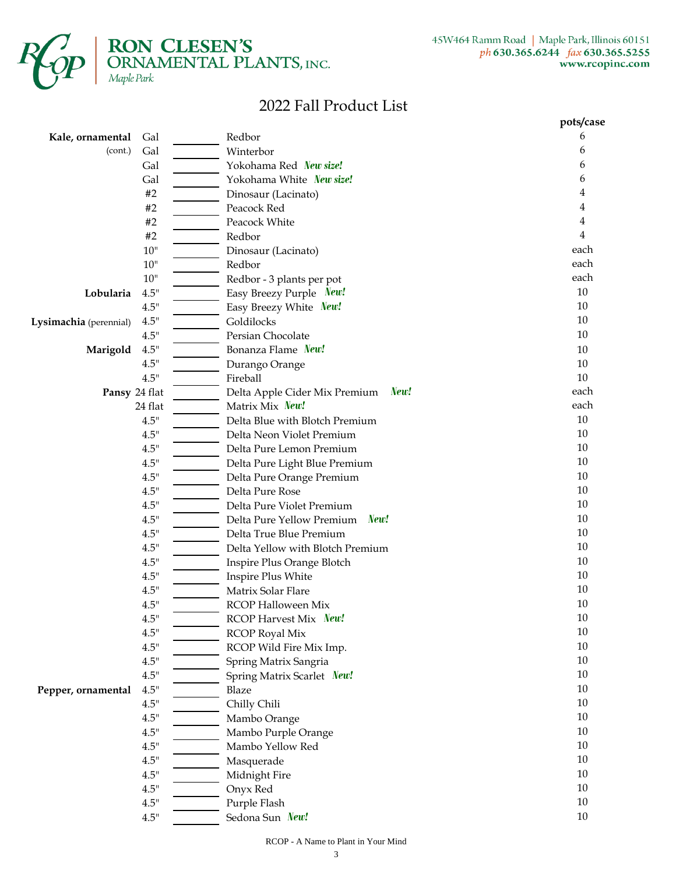

**RON CLESEN'S**<br>**ORNAMENTAL PLANTS**, INC.<br>Maple Park

# 2022 Fall Product List

|                          |        |                                              | pots/case |
|--------------------------|--------|----------------------------------------------|-----------|
| Kale, ornamental         | Gal    | Redbor                                       | 6         |
| (cont.)                  | Gal    | Winterbor                                    | 6         |
|                          | Gal    | Yokohama Red New size!                       | 6         |
|                          | Gal    | Yokohama White New size!                     | 6         |
|                          | #2     | Dinosaur (Lacinato)                          | 4         |
|                          | #2     | Peacock Red                                  | 4         |
|                          | #2     | Peacock White                                | 4         |
|                          | #2     | Redbor                                       | 4         |
|                          | $10$   | Dinosaur (Lacinato)                          | each      |
|                          | $10$   | Redbor                                       | each      |
|                          | $10$   | Redbor - 3 plants per pot                    | each      |
| Lobularia                | 4.5"   | Easy Breezy Purple New!                      | 10        |
|                          | 4.5"   | Easy Breezy White New!                       | 10        |
| Lysimachia (perennial)   | 4.5"   | Goldilocks                                   | 10        |
|                          | 4.5"   | Persian Chocolate                            | 10        |
| Marigold                 | 4.5"   | Bonanza Flame New!                           | 10        |
|                          | 4.5"   | Durango Orange                               | 10        |
|                          | 4.5"   | Fireball                                     | 10        |
|                          |        | New!<br>Delta Apple Cider Mix Premium        | each      |
| Pansy 24 flat<br>24 flat |        | Matrix Mix New!                              | each      |
|                          | 4.5"   | Delta Blue with Blotch Premium               | $10\,$    |
|                          | 4.5"   | Delta Neon Violet Premium                    | 10        |
|                          | 4.5"   | Delta Pure Lemon Premium                     | 10        |
|                          | 4.5"   |                                              | 10        |
|                          | 4.5"   | Delta Pure Light Blue Premium                | 10        |
|                          | 4.5"   | Delta Pure Orange Premium<br>Delta Pure Rose | $10\,$    |
|                          |        |                                              | 10        |
|                          | 4.5"   | Delta Pure Violet Premium<br>New!            | 10        |
|                          | 4.5"   | Delta Pure Yellow Premium                    | 10        |
|                          | 4.5"   | Delta True Blue Premium                      | 10        |
|                          | 4.5"   | Delta Yellow with Blotch Premium             |           |
|                          | 4.5"   | Inspire Plus Orange Blotch                   | 10        |
|                          | 4.5"   | Inspire Plus White                           | 10        |
|                          | 4.5"   | Matrix Solar Flare                           | 10        |
|                          | 4.5"   | <b>RCOP Halloween Mix</b>                    | 10        |
|                          | 4.5"   | RCOP Harvest Mix New!                        | $10\,$    |
|                          | $4.5"$ | <b>RCOP Royal Mix</b>                        | $10\,$    |
|                          | $4.5"$ | RCOP Wild Fire Mix Imp.                      | $10\,$    |
|                          | 4.5"   | Spring Matrix Sangria                        | 10        |
|                          | 4.5"   | Spring Matrix Scarlet New!                   | 10        |
| Pepper, ornamental       | 4.5"   | Blaze                                        | $10\,$    |
|                          | 4.5"   | Chilly Chili                                 | 10        |
|                          | 4.5"   | Mambo Orange                                 | $10\,$    |
|                          | 4.5"   | Mambo Purple Orange                          | 10        |
|                          | $4.5"$ | Mambo Yellow Red                             | 10        |
|                          | 4.5"   | Masquerade                                   | 10        |
|                          | 4.5"   | Midnight Fire                                | 10        |
|                          | 4.5"   | Onyx Red                                     | 10        |
|                          | 4.5"   | Purple Flash                                 | 10        |
|                          | 4.5"   | Sedona Sun New!                              | 10        |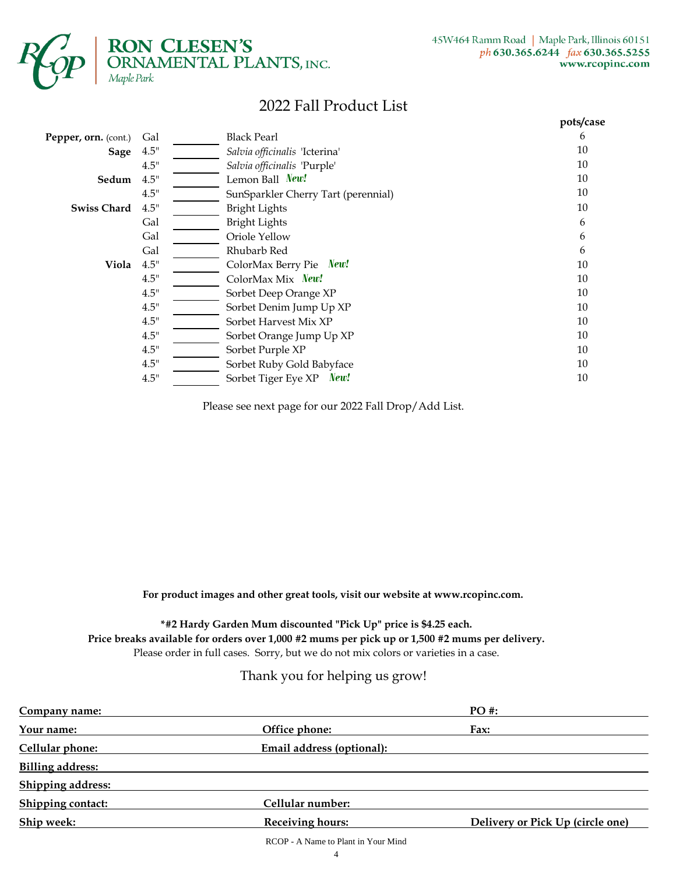

 $\begin{array}{ll} \mbox{\textbf{RON CLESEN's}}\\ \mbox{ORNAMENTAL PLANTS, INC.} \\ \hbox{Maple Park} \end{array}$ 

## 2022 Fall Product List

|                      |      |                                     | pots/case |
|----------------------|------|-------------------------------------|-----------|
| Pepper, orn. (cont.) | Gal  | <b>Black Pearl</b>                  | 6         |
| Sage                 | 4.5" | Salvia officinalis 'Icterina'       | 10        |
|                      | 4.5" | Salvia officinalis 'Purple'         | 10        |
| Sedum                | 4.5" | Lemon Ball New!                     | 10        |
|                      | 4.5" | SunSparkler Cherry Tart (perennial) | 10        |
| <b>Swiss Chard</b>   | 4.5" | <b>Bright Lights</b>                | 10        |
|                      | Gal  | <b>Bright Lights</b>                | 6         |
|                      | Gal  | Oriole Yellow                       | 6         |
|                      | Gal  | Rhubarb Red                         | 6         |
| Viola                | 4.5" | ColorMax Berry Pie New!             | 10        |
|                      | 4.5" | ColorMax Mix New!                   | 10        |
|                      | 4.5" | Sorbet Deep Orange XP               | 10        |
|                      | 4.5" | Sorbet Denim Jump Up XP             | 10        |
|                      | 4.5" | Sorbet Harvest Mix XP               | 10        |
|                      | 4.5" | Sorbet Orange Jump Up XP            | 10        |
|                      | 4.5" | Sorbet Purple XP                    | 10        |
|                      | 4.5" | Sorbet Ruby Gold Babyface           | 10        |
|                      | 4.5" | Sorbet Tiger Eye XP New!            | 10        |

Please see next page for our 2022 Fall Drop/Add List.

**For product images and other great tools, visit our website at www.rcopinc.com.**

**\*#2 Hardy Garden Mum discounted "Pick Up" price is \$4.25 each. Price breaks available for orders over 1,000 #2 mums per pick up or 1,500 #2 mums per delivery.** Please order in full cases. Sorry, but we do not mix colors or varieties in a case.

### Thank you for helping us grow!

| Company name:            |                           | PO #:                            |
|--------------------------|---------------------------|----------------------------------|
| Your name:               | Office phone:             | Fax:                             |
| Cellular phone:          | Email address (optional): |                                  |
| <b>Billing address:</b>  |                           |                                  |
| <b>Shipping address:</b> |                           |                                  |
| Shipping contact:        | Cellular number:          |                                  |
| Ship week:               | <b>Receiving hours:</b>   | Delivery or Pick Up (circle one) |
|                          |                           |                                  |

RCOP - A Name to Plant in Your Mind